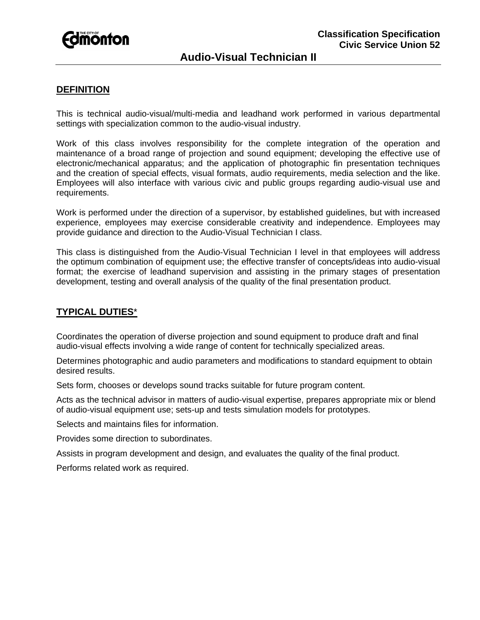

# **DEFINITION**

This is technical audio-visual/multi-media and leadhand work performed in various departmental settings with specialization common to the audio-visual industry.

Work of this class involves responsibility for the complete integration of the operation and maintenance of a broad range of projection and sound equipment; developing the effective use of electronic/mechanical apparatus; and the application of photographic fin presentation techniques and the creation of special effects, visual formats, audio requirements, media selection and the like. Employees will also interface with various civic and public groups regarding audio-visual use and requirements.

Work is performed under the direction of a supervisor, by established guidelines, but with increased experience, employees may exercise considerable creativity and independence. Employees may provide guidance and direction to the Audio-Visual Technician I class.

This class is distinguished from the Audio-Visual Technician I level in that employees will address the optimum combination of equipment use; the effective transfer of concepts/ideas into audio-visual format; the exercise of leadhand supervision and assisting in the primary stages of presentation development, testing and overall analysis of the quality of the final presentation product.

# **TYPICAL DUTIES**\*

Coordinates the operation of diverse projection and sound equipment to produce draft and final audio-visual effects involving a wide range of content for technically specialized areas.

Determines photographic and audio parameters and modifications to standard equipment to obtain desired results.

Sets form, chooses or develops sound tracks suitable for future program content.

Acts as the technical advisor in matters of audio-visual expertise, prepares appropriate mix or blend of audio-visual equipment use; sets-up and tests simulation models for prototypes.

Selects and maintains files for information.

Provides some direction to subordinates.

Assists in program development and design, and evaluates the quality of the final product.

Performs related work as required.